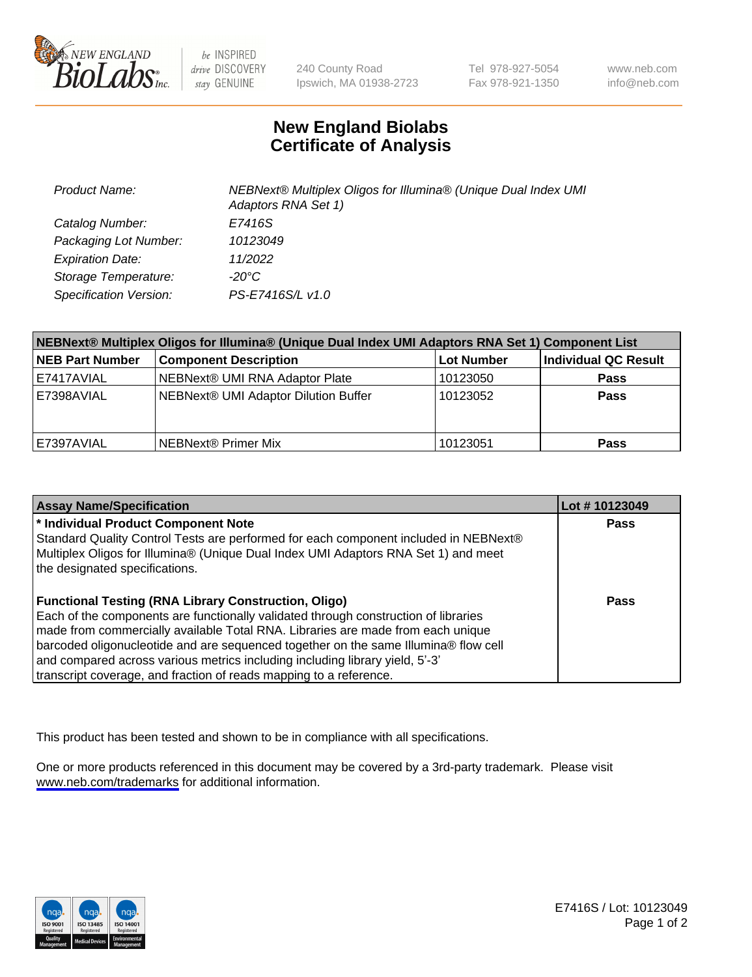

be INSPIRED drive DISCOVERY stay GENUINE

240 County Road Ipswich, MA 01938-2723 Tel 978-927-5054 Fax 978-921-1350

www.neb.com info@neb.com

## **New England Biolabs Certificate of Analysis**

| <b>Product Name:</b>    | NEBNext® Multiplex Oligos for Illumina® (Unique Dual Index UMI<br>Adaptors RNA Set 1) |
|-------------------------|---------------------------------------------------------------------------------------|
| Catalog Number:         | E7416S                                                                                |
| Packaging Lot Number:   | 10123049                                                                              |
| <b>Expiration Date:</b> | 11/2022                                                                               |
| Storage Temperature:    | -20°C                                                                                 |
| Specification Version:  | PS-E7416S/L v1.0                                                                      |

| NEBNext® Multiplex Oligos for Illumina® (Unique Dual Index UMI Adaptors RNA Set 1) Component List |                                      |            |                      |  |
|---------------------------------------------------------------------------------------------------|--------------------------------------|------------|----------------------|--|
| <b>NEB Part Number</b>                                                                            | <b>Component Description</b>         | Lot Number | Individual QC Result |  |
| E7417AVIAL                                                                                        | NEBNext® UMI RNA Adaptor Plate       | 10123050   | <b>Pass</b>          |  |
| E7398AVIAL                                                                                        | NEBNext® UMI Adaptor Dilution Buffer | 10123052   | <b>Pass</b>          |  |
| E7397AVIAL                                                                                        | l NEBNext® Primer Mix                | 10123051   | <b>Pass</b>          |  |

| <b>Assay Name/Specification</b>                                                      | Lot #10123049 |
|--------------------------------------------------------------------------------------|---------------|
| <sup>*</sup> Individual Product Component Note                                       | <b>Pass</b>   |
| Standard Quality Control Tests are performed for each component included in NEBNext® |               |
| Multiplex Oligos for Illumina® (Unique Dual Index UMI Adaptors RNA Set 1) and meet   |               |
| the designated specifications.                                                       |               |
|                                                                                      |               |
| <b>Functional Testing (RNA Library Construction, Oligo)</b>                          | Pass          |
| Each of the components are functionally validated through construction of libraries  |               |
| made from commercially available Total RNA. Libraries are made from each unique      |               |
| barcoded oligonucleotide and are sequenced together on the same Illumina® flow cell  |               |
| and compared across various metrics including including library yield, 5'-3'         |               |
| transcript coverage, and fraction of reads mapping to a reference.                   |               |

This product has been tested and shown to be in compliance with all specifications.

One or more products referenced in this document may be covered by a 3rd-party trademark. Please visit <www.neb.com/trademarks>for additional information.